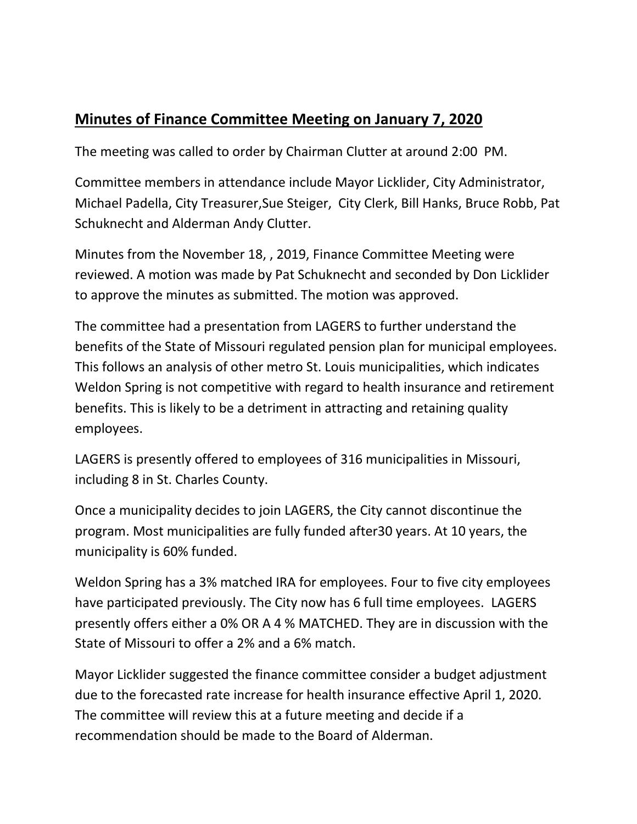## **Minutes of Finance Committee Meeting on January 7, 2020**

The meeting was called to order by Chairman Clutter at around 2:00 PM.

Committee members in attendance include Mayor Licklider, City Administrator, Michael Padella, City Treasurer,Sue Steiger, City Clerk, Bill Hanks, Bruce Robb, Pat Schuknecht and Alderman Andy Clutter.

Minutes from the November 18, , 2019, Finance Committee Meeting were reviewed. A motion was made by Pat Schuknecht and seconded by Don Licklider to approve the minutes as submitted. The motion was approved.

The committee had a presentation from LAGERS to further understand the benefits of the State of Missouri regulated pension plan for municipal employees. This follows an analysis of other metro St. Louis municipalities, which indicates Weldon Spring is not competitive with regard to health insurance and retirement benefits. This is likely to be a detriment in attracting and retaining quality employees.

LAGERS is presently offered to employees of 316 municipalities in Missouri, including 8 in St. Charles County.

Once a municipality decides to join LAGERS, the City cannot discontinue the program. Most municipalities are fully funded after30 years. At 10 years, the municipality is 60% funded.

Weldon Spring has a 3% matched IRA for employees. Four to five city employees have participated previously. The City now has 6 full time employees. LAGERS presently offers either a 0% OR A 4 % MATCHED. They are in discussion with the State of Missouri to offer a 2% and a 6% match.

Mayor Licklider suggested the finance committee consider a budget adjustment due to the forecasted rate increase for health insurance effective April 1, 2020. The committee will review this at a future meeting and decide if a recommendation should be made to the Board of Alderman.